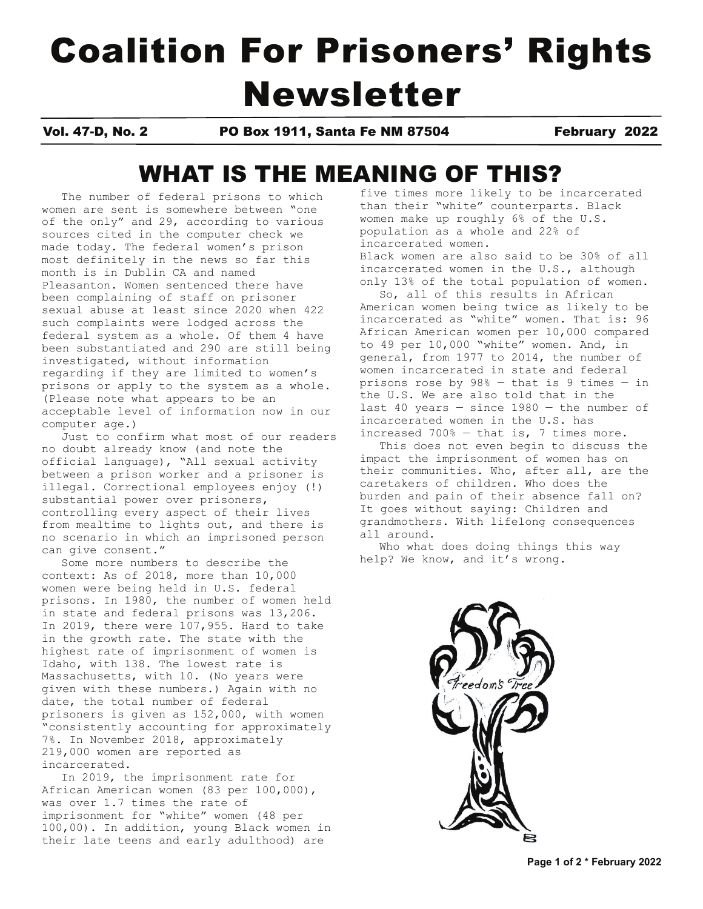# Coalition For Prisoners' Rights Newsletter

Vol. 47-D, No. 2 PO Box 1911, Santa Fe NM 87504 February 2022

# WHAT IS THE MEANING OF THIS?

The number of federal prisons to which women are sent is somewhere between "one of the only" and 29, according to various sources cited in the computer check we made today. The federal women's prison most definitely in the news so far this month is in Dublin CA and named Pleasanton. Women sentenced there have been complaining of staff on prisoner sexual abuse at least since 2020 when 422 such complaints were lodged across the federal system as a whole. Of them 4 have been substantiated and 290 are still being investigated, without information regarding if they are limited to women's prisons or apply to the system as a whole. (Please note what appears to be an acceptable level of information now in our computer age.)

 Just to confirm what most of our readers no doubt already know (and note the official language), "All sexual activity between a prison worker and a prisoner is illegal. Correctional employees enjoy (!) substantial power over prisoners, controlling every aspect of their lives from mealtime to lights out, and there is no scenario in which an imprisoned person can give consent."

 Some more numbers to describe the context: As of 2018, more than 10,000 women were being held in U.S. federal prisons. In 1980, the number of women held in state and federal prisons was 13,206. In 2019, there were 107,955. Hard to take in the growth rate. The state with the highest rate of imprisonment of women is Idaho, with 138. The lowest rate is Massachusetts, with 10. (No years were given with these numbers.) Again with no date, the total number of federal prisoners is given as 152,000, with women "consistently accounting for approximately 7%. In November 2018, approximately 219,000 women are reported as incarcerated.

 In 2019, the imprisonment rate for African American women (83 per 100,000), was over 1.7 times the rate of imprisonment for "white" women (48 per 100,00). In addition, young Black women in their late teens and early adulthood) are

five times more likely to be incarcerated than their "white" counterparts. Black women make up roughly 6% of the U.S. population as a whole and 22% of incarcerated women. Black women are also said to be 30% of all incarcerated women in the U.S., although only 13% of the total population of women.

 So, all of this results in African American women being twice as likely to be incarcerated as "white" women. That is: 96 African American women per 10,000 compared to 49 per 10,000 "white" women. And, in general, from 1977 to 2014, the number of women incarcerated in state and federal prisons rose by 98% — that is 9 times — in the U.S. We are also told that in the last 40 years — since 1980 — the number of incarcerated women in the U.S. has increased 700% — that is, 7 times more.

 This does not even begin to discuss the impact the imprisonment of women has on their communities. Who, after all, are the caretakers of children. Who does the burden and pain of their absence fall on? It goes without saying: Children and grandmothers. With lifelong consequences all around.

 Who what does doing things this way help? We know, and it's wrong.



**Page 1 of 2 \* February 2022**